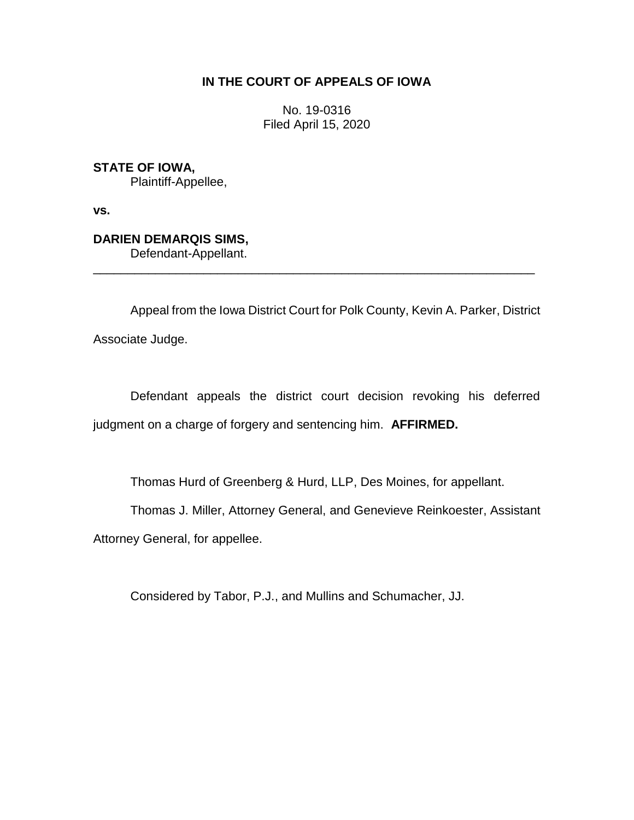# **IN THE COURT OF APPEALS OF IOWA**

No. 19-0316 Filed April 15, 2020

**STATE OF IOWA,** Plaintiff-Appellee,

**vs.**

**DARIEN DEMARQIS SIMS,** Defendant-Appellant.

Appeal from the Iowa District Court for Polk County, Kevin A. Parker, District Associate Judge.

\_\_\_\_\_\_\_\_\_\_\_\_\_\_\_\_\_\_\_\_\_\_\_\_\_\_\_\_\_\_\_\_\_\_\_\_\_\_\_\_\_\_\_\_\_\_\_\_\_\_\_\_\_\_\_\_\_\_\_\_\_\_\_\_

Defendant appeals the district court decision revoking his deferred judgment on a charge of forgery and sentencing him. **AFFIRMED.**

Thomas Hurd of Greenberg & Hurd, LLP, Des Moines, for appellant.

Thomas J. Miller, Attorney General, and Genevieve Reinkoester, Assistant

Attorney General, for appellee.

Considered by Tabor, P.J., and Mullins and Schumacher, JJ.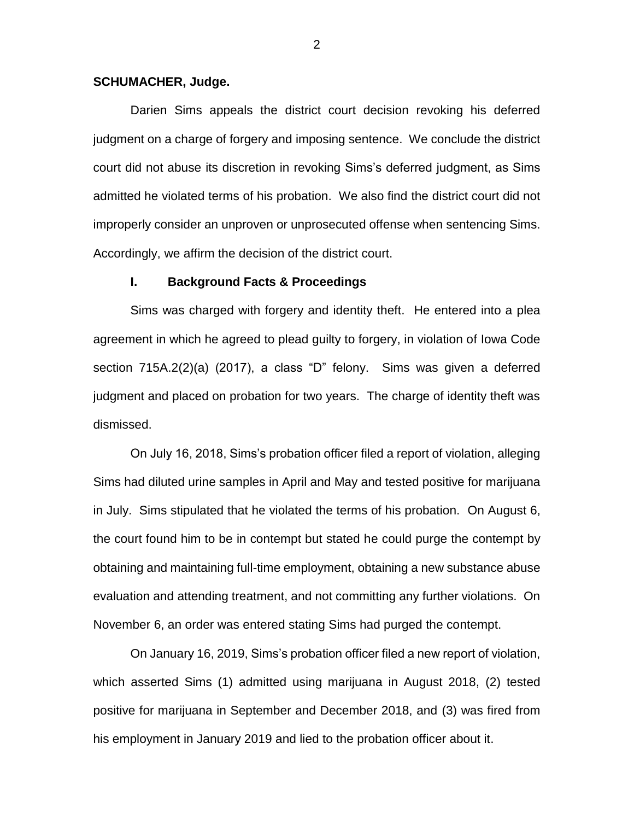#### **SCHUMACHER, Judge.**

Darien Sims appeals the district court decision revoking his deferred judgment on a charge of forgery and imposing sentence. We conclude the district court did not abuse its discretion in revoking Sims's deferred judgment, as Sims admitted he violated terms of his probation. We also find the district court did not improperly consider an unproven or unprosecuted offense when sentencing Sims. Accordingly, we affirm the decision of the district court.

#### **I. Background Facts & Proceedings**

Sims was charged with forgery and identity theft. He entered into a plea agreement in which he agreed to plead guilty to forgery, in violation of Iowa Code section 715A.2(2)(a) (2017), a class "D" felony. Sims was given a deferred judgment and placed on probation for two years. The charge of identity theft was dismissed.

On July 16, 2018, Sims's probation officer filed a report of violation, alleging Sims had diluted urine samples in April and May and tested positive for marijuana in July. Sims stipulated that he violated the terms of his probation. On August 6, the court found him to be in contempt but stated he could purge the contempt by obtaining and maintaining full-time employment, obtaining a new substance abuse evaluation and attending treatment, and not committing any further violations. On November 6, an order was entered stating Sims had purged the contempt.

On January 16, 2019, Sims's probation officer filed a new report of violation, which asserted Sims (1) admitted using marijuana in August 2018, (2) tested positive for marijuana in September and December 2018, and (3) was fired from his employment in January 2019 and lied to the probation officer about it.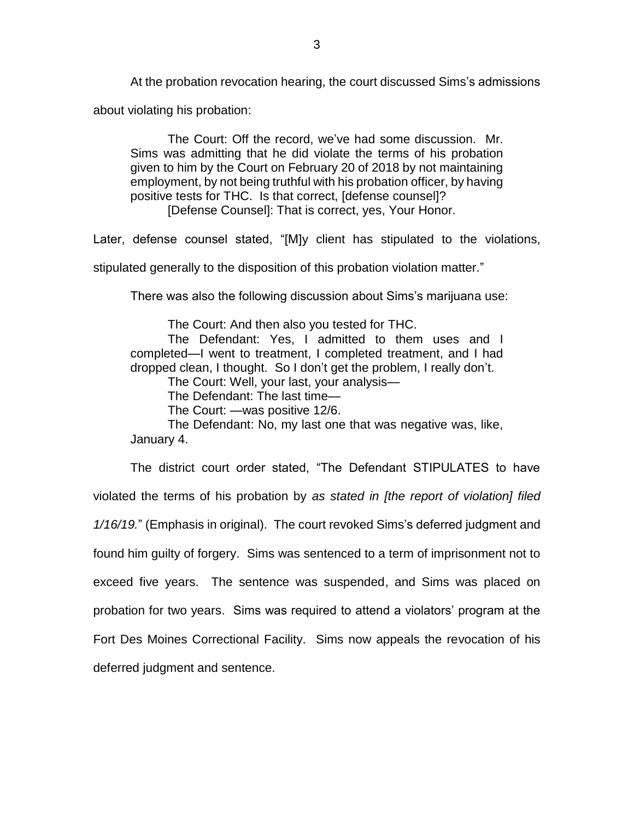At the probation revocation hearing, the court discussed Sims's admissions

about violating his probation:

The Court: Off the record, we've had some discussion. Mr. Sims was admitting that he did violate the terms of his probation given to him by the Court on February 20 of 2018 by not maintaining employment, by not being truthful with his probation officer, by having positive tests for THC. Is that correct, [defense counsel]? [Defense Counsel]: That is correct, yes, Your Honor.

Later, defense counsel stated, "[M]y client has stipulated to the violations,

stipulated generally to the disposition of this probation violation matter."

There was also the following discussion about Sims's marijuana use:

The Court: And then also you tested for THC.

The Defendant: Yes, I admitted to them uses and I completed—I went to treatment, I completed treatment, and I had dropped clean, I thought. So I don't get the problem, I really don't.

The Court: Well, your last, your analysis—

The Defendant: The last time—

The Court: —was positive 12/6.

The Defendant: No, my last one that was negative was, like, January 4.

The district court order stated, "The Defendant STIPULATES to have violated the terms of his probation by *as stated in [the report of violation] filed 1/16/19.*" (Emphasis in original). The court revoked Sims's deferred judgment and found him guilty of forgery. Sims was sentenced to a term of imprisonment not to exceed five years. The sentence was suspended, and Sims was placed on probation for two years. Sims was required to attend a violators' program at the Fort Des Moines Correctional Facility. Sims now appeals the revocation of his deferred judgment and sentence.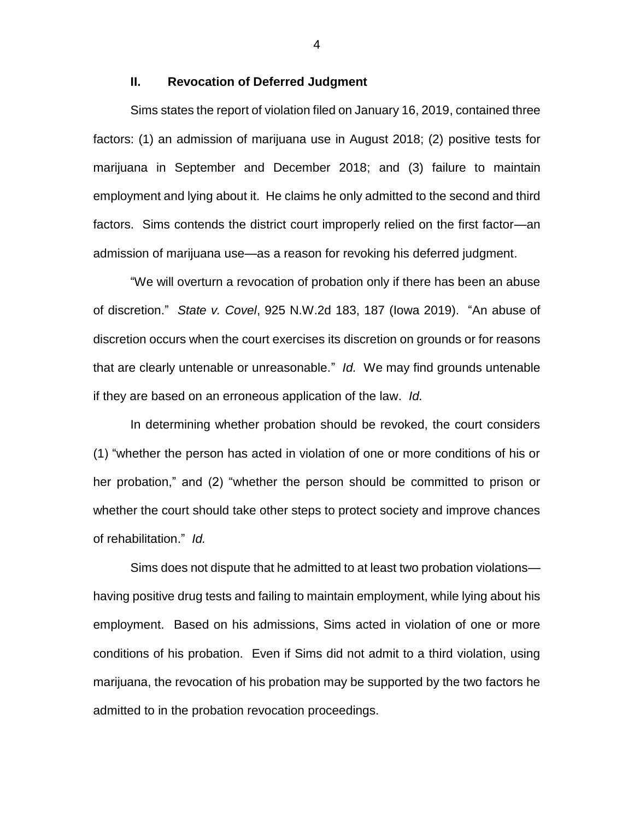## **II. Revocation of Deferred Judgment**

Sims states the report of violation filed on January 16, 2019, contained three factors: (1) an admission of marijuana use in August 2018; (2) positive tests for marijuana in September and December 2018; and (3) failure to maintain employment and lying about it. He claims he only admitted to the second and third factors. Sims contends the district court improperly relied on the first factor—an admission of marijuana use—as a reason for revoking his deferred judgment.

"We will overturn a revocation of probation only if there has been an abuse of discretion." *State v. Covel*, 925 N.W.2d 183, 187 (Iowa 2019). "An abuse of discretion occurs when the court exercises its discretion on grounds or for reasons that are clearly untenable or unreasonable." *Id.* We may find grounds untenable if they are based on an erroneous application of the law. *Id.*

In determining whether probation should be revoked, the court considers (1) "whether the person has acted in violation of one or more conditions of his or her probation," and (2) "whether the person should be committed to prison or whether the court should take other steps to protect society and improve chances of rehabilitation." *Id.*

Sims does not dispute that he admitted to at least two probation violations having positive drug tests and failing to maintain employment, while lying about his employment. Based on his admissions, Sims acted in violation of one or more conditions of his probation. Even if Sims did not admit to a third violation, using marijuana, the revocation of his probation may be supported by the two factors he admitted to in the probation revocation proceedings.

4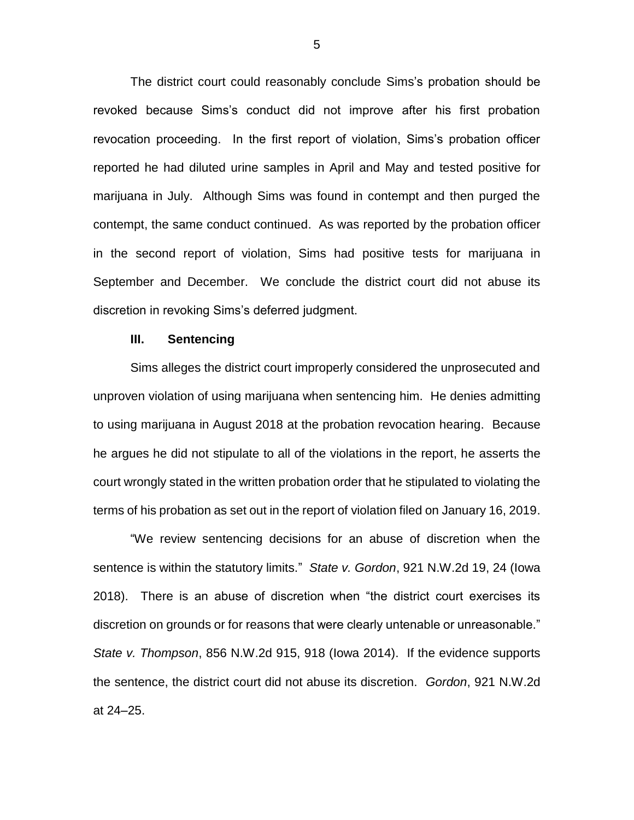The district court could reasonably conclude Sims's probation should be revoked because Sims's conduct did not improve after his first probation revocation proceeding. In the first report of violation, Sims's probation officer reported he had diluted urine samples in April and May and tested positive for marijuana in July. Although Sims was found in contempt and then purged the contempt, the same conduct continued. As was reported by the probation officer in the second report of violation, Sims had positive tests for marijuana in September and December. We conclude the district court did not abuse its discretion in revoking Sims's deferred judgment.

### **III. Sentencing**

Sims alleges the district court improperly considered the unprosecuted and unproven violation of using marijuana when sentencing him. He denies admitting to using marijuana in August 2018 at the probation revocation hearing. Because he argues he did not stipulate to all of the violations in the report, he asserts the court wrongly stated in the written probation order that he stipulated to violating the terms of his probation as set out in the report of violation filed on January 16, 2019.

"We review sentencing decisions for an abuse of discretion when the sentence is within the statutory limits." *State v. Gordon*, 921 N.W.2d 19, 24 (Iowa 2018). There is an abuse of discretion when "the district court exercises its discretion on grounds or for reasons that were clearly untenable or unreasonable." *State v. Thompson*, 856 N.W.2d 915, 918 (Iowa 2014). If the evidence supports the sentence, the district court did not abuse its discretion. *Gordon*, 921 N.W.2d at 24–25.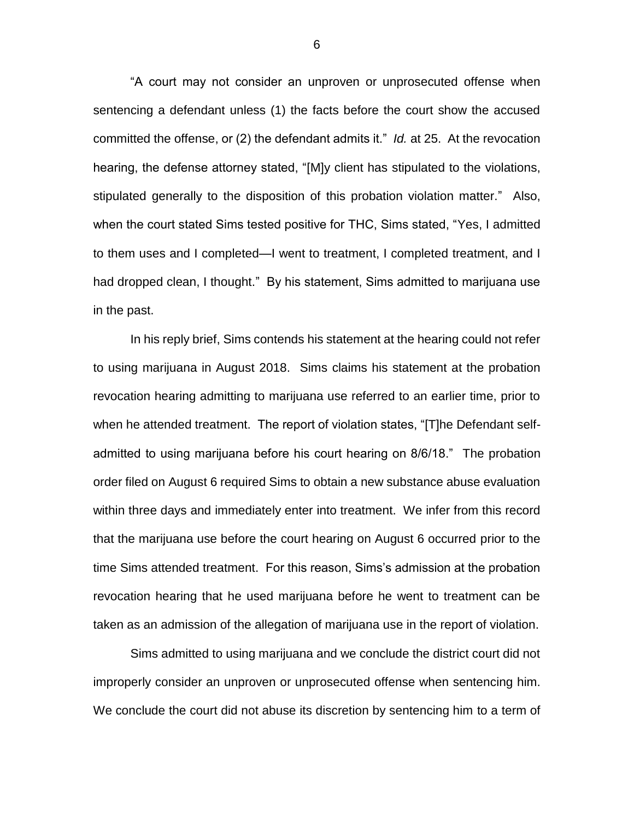"A court may not consider an unproven or unprosecuted offense when sentencing a defendant unless (1) the facts before the court show the accused committed the offense, or (2) the defendant admits it." *Id.* at 25. At the revocation hearing, the defense attorney stated, "[M]y client has stipulated to the violations, stipulated generally to the disposition of this probation violation matter." Also, when the court stated Sims tested positive for THC, Sims stated, "Yes, I admitted to them uses and I completed—I went to treatment, I completed treatment, and I had dropped clean, I thought." By his statement, Sims admitted to marijuana use in the past.

In his reply brief, Sims contends his statement at the hearing could not refer to using marijuana in August 2018. Sims claims his statement at the probation revocation hearing admitting to marijuana use referred to an earlier time, prior to when he attended treatment. The report of violation states, "[T]he Defendant selfadmitted to using marijuana before his court hearing on 8/6/18." The probation order filed on August 6 required Sims to obtain a new substance abuse evaluation within three days and immediately enter into treatment. We infer from this record that the marijuana use before the court hearing on August 6 occurred prior to the time Sims attended treatment. For this reason, Sims's admission at the probation revocation hearing that he used marijuana before he went to treatment can be taken as an admission of the allegation of marijuana use in the report of violation.

Sims admitted to using marijuana and we conclude the district court did not improperly consider an unproven or unprosecuted offense when sentencing him. We conclude the court did not abuse its discretion by sentencing him to a term of

6